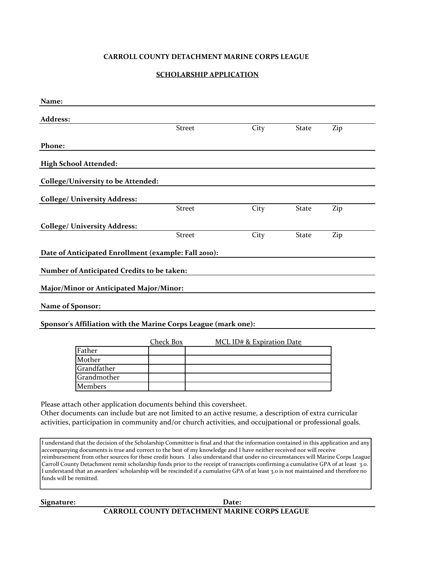# **CARROLL COUNTY DETACHMENT MARINE CORPS LEAGUE**

# **SCHOLARSHIP APPLICATION**

| Name:                                             |                                                                                                                                                                                                                                                                                                                                                                                                                                                                                                                                                                                                                                                                            |                                      |              |     |
|---------------------------------------------------|----------------------------------------------------------------------------------------------------------------------------------------------------------------------------------------------------------------------------------------------------------------------------------------------------------------------------------------------------------------------------------------------------------------------------------------------------------------------------------------------------------------------------------------------------------------------------------------------------------------------------------------------------------------------------|--------------------------------------|--------------|-----|
| Address:                                          |                                                                                                                                                                                                                                                                                                                                                                                                                                                                                                                                                                                                                                                                            |                                      |              |     |
|                                                   | <b>Street</b>                                                                                                                                                                                                                                                                                                                                                                                                                                                                                                                                                                                                                                                              | City                                 | <b>State</b> | Zip |
| Phone:                                            |                                                                                                                                                                                                                                                                                                                                                                                                                                                                                                                                                                                                                                                                            |                                      |              |     |
|                                                   |                                                                                                                                                                                                                                                                                                                                                                                                                                                                                                                                                                                                                                                                            |                                      |              |     |
| <b>High School Attended:</b>                      |                                                                                                                                                                                                                                                                                                                                                                                                                                                                                                                                                                                                                                                                            |                                      |              |     |
| <b>College/University to be Attended:</b>         |                                                                                                                                                                                                                                                                                                                                                                                                                                                                                                                                                                                                                                                                            |                                      |              |     |
| <b>College/ University Address:</b>               |                                                                                                                                                                                                                                                                                                                                                                                                                                                                                                                                                                                                                                                                            |                                      |              |     |
|                                                   | <b>Street</b>                                                                                                                                                                                                                                                                                                                                                                                                                                                                                                                                                                                                                                                              | City                                 | <b>State</b> | Zip |
| <b>College/ University Address:</b>               |                                                                                                                                                                                                                                                                                                                                                                                                                                                                                                                                                                                                                                                                            |                                      |              |     |
|                                                   | <b>Street</b>                                                                                                                                                                                                                                                                                                                                                                                                                                                                                                                                                                                                                                                              | City                                 | <b>State</b> | Zip |
|                                                   |                                                                                                                                                                                                                                                                                                                                                                                                                                                                                                                                                                                                                                                                            |                                      |              |     |
|                                                   | Date of Anticipated Enrollment (example: Fall 2010):                                                                                                                                                                                                                                                                                                                                                                                                                                                                                                                                                                                                                       |                                      |              |     |
| <b>Number of Anticipated Credits to be taken:</b> |                                                                                                                                                                                                                                                                                                                                                                                                                                                                                                                                                                                                                                                                            |                                      |              |     |
|                                                   |                                                                                                                                                                                                                                                                                                                                                                                                                                                                                                                                                                                                                                                                            |                                      |              |     |
| Major/Minor or Anticipated Major/Minor:           |                                                                                                                                                                                                                                                                                                                                                                                                                                                                                                                                                                                                                                                                            |                                      |              |     |
| Name of Sponsor:                                  |                                                                                                                                                                                                                                                                                                                                                                                                                                                                                                                                                                                                                                                                            |                                      |              |     |
|                                                   |                                                                                                                                                                                                                                                                                                                                                                                                                                                                                                                                                                                                                                                                            |                                      |              |     |
|                                                   | Sponsor's Affiliation with the Marine Corps League (mark one):                                                                                                                                                                                                                                                                                                                                                                                                                                                                                                                                                                                                             |                                      |              |     |
|                                                   | <b>Check Box</b>                                                                                                                                                                                                                                                                                                                                                                                                                                                                                                                                                                                                                                                           | <b>MCL ID# &amp; Expiration Date</b> |              |     |
| Father                                            |                                                                                                                                                                                                                                                                                                                                                                                                                                                                                                                                                                                                                                                                            |                                      |              |     |
| Mother                                            |                                                                                                                                                                                                                                                                                                                                                                                                                                                                                                                                                                                                                                                                            |                                      |              |     |
| Grandfather                                       |                                                                                                                                                                                                                                                                                                                                                                                                                                                                                                                                                                                                                                                                            |                                      |              |     |
| Grandmother                                       |                                                                                                                                                                                                                                                                                                                                                                                                                                                                                                                                                                                                                                                                            |                                      |              |     |
| Members                                           |                                                                                                                                                                                                                                                                                                                                                                                                                                                                                                                                                                                                                                                                            |                                      |              |     |
|                                                   | Please attach other application documents behind this coversheet.<br>Other documents can include but are not limited to an active resume, a description of extra curricular<br>activities, participation in community and/or church activities, and occujpational or professional goals.                                                                                                                                                                                                                                                                                                                                                                                   |                                      |              |     |
| funds will be remitted.                           | I understand that the decision of the Scholarship Committee is final and that the information contained in this application and any<br>accompanying documents is true and correct to the best of my knowledge and I have neither received nor will receive<br>reimbursement from other sources for these credit hours. I also understand that under no circumstances will Marine Corps League<br>Carroll County Detachment remit scholarship funds prior to the receipt of transcripts confirming a cumulative GPA of at least 3.0.<br>I understand that an awardees' scholarship will be rescinded if a cumulative GPA of at least 3.0 is not maintained and therefore no |                                      |              |     |

**Signature: Date: CARROLL COUNTY DETACHMENT MARINE CORPS LEAGUE**